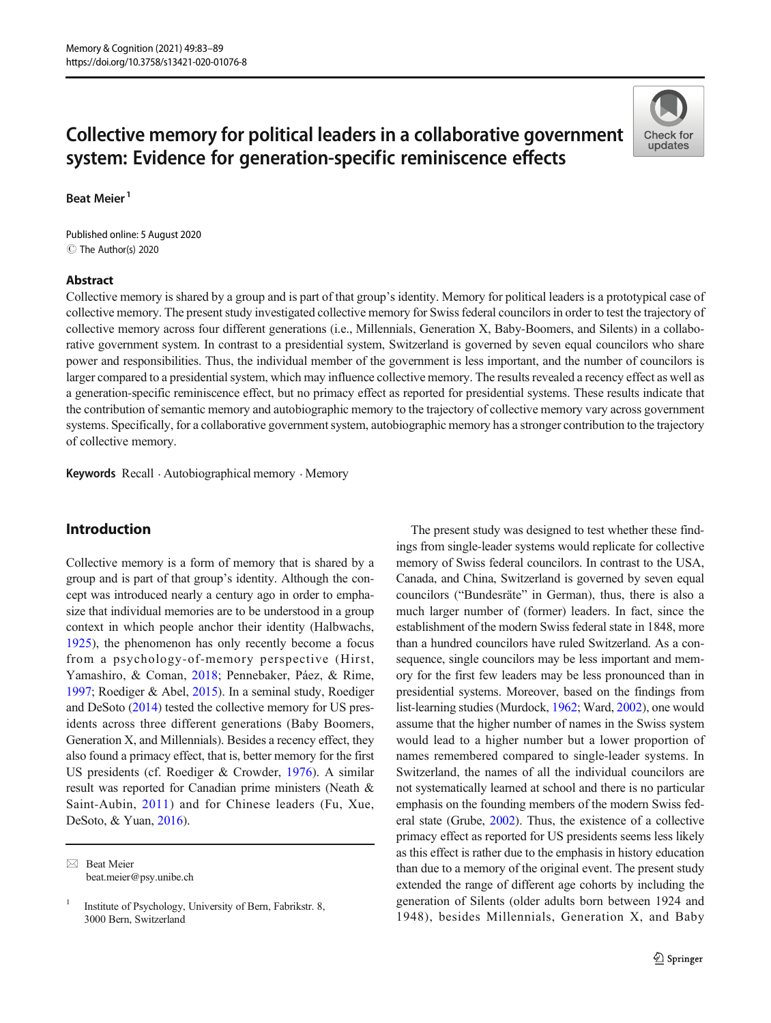# Collective memory for political leaders in a collaborative government system: Evidence for generation-specific reminiscence effects

Beat Meier<sup>1</sup>

C The Author(s) 2020 Published online: 5 August 2020

#### Abstract



Collective memory is shared by a group and is part of that group's identity. Memory for political leaders is a prototypical case of collective memory. The present study investigated collective memory for Swiss federal councilors in order to test the trajectory of collective memory across four different generations (i.e., Millennials, Generation X, Baby-Boomers, and Silents) in a collaborative government system. In contrast to a presidential system, Switzerland is governed by seven equal councilors who share power and responsibilities. Thus, the individual member of the government is less important, and the number of councilors is larger compared to a presidential system, which may influence collective memory. The results revealed a recency effect as well as a generation-specific reminiscence effect, but no primacy effect as reported for presidential systems. These results indicate that the contribution of semantic memory and autobiographic memory to the trajectory of collective memory vary across government systems. Specifically, for a collaborative government system, autobiographic memory has a stronger contribution to the trajectory of collective memory.

Keywords Recall . Autobiographical memory . Memory

# Introduction

Collective memory is a form of memory that is shared by a group and is part of that group's identity. Although the concept was introduced nearly a century ago in order to emphasize that individual memories are to be understood in a group context in which people anchor their identity (Halbwachs, [1925\)](#page-6-0), the phenomenon has only recently become a focus from a psychology-of-memory perspective (Hirst, Yamashiro, & Coman, [2018](#page-6-0); Pennebaker, Páez, & Rime, [1997;](#page-6-0) Roediger & Abel, [2015](#page-6-0)). In a seminal study, Roediger and DeSoto [\(2014\)](#page-6-0) tested the collective memory for US presidents across three different generations (Baby Boomers, Generation X, and Millennials). Besides a recency effect, they also found a primacy effect, that is, better memory for the first US presidents (cf. Roediger & Crowder, [1976](#page-6-0)). A similar result was reported for Canadian prime ministers (Neath & Saint-Aubin, [2011](#page-6-0)) and for Chinese leaders (Fu, Xue, DeSoto, & Yuan, [2016](#page-6-0)).

The present study was designed to test whether these findings from single-leader systems would replicate for collective memory of Swiss federal councilors. In contrast to the USA, Canada, and China, Switzerland is governed by seven equal councilors ("Bundesräte" in German), thus, there is also a much larger number of (former) leaders. In fact, since the establishment of the modern Swiss federal state in 1848, more than a hundred councilors have ruled Switzerland. As a consequence, single councilors may be less important and memory for the first few leaders may be less pronounced than in presidential systems. Moreover, based on the findings from list-learning studies (Murdock, [1962](#page-6-0); Ward, [2002](#page-6-0)), one would assume that the higher number of names in the Swiss system would lead to a higher number but a lower proportion of names remembered compared to single-leader systems. In Switzerland, the names of all the individual councilors are not systematically learned at school and there is no particular emphasis on the founding members of the modern Swiss federal state (Grube, [2002](#page-6-0)). Thus, the existence of a collective primacy effect as reported for US presidents seems less likely as this effect is rather due to the emphasis in history education than due to a memory of the original event. The present study extended the range of different age cohorts by including the generation of Silents (older adults born between 1924 and 1948), besides Millennials, Generation X, and Baby

 $\boxtimes$  Beat Meier [beat.meier@psy.unibe.ch](mailto:beat.meier@psy.unibe.ch)

<sup>&</sup>lt;sup>1</sup> Institute of Psychology, University of Bern, Fabrikstr. 8, 3000 Bern, Switzerland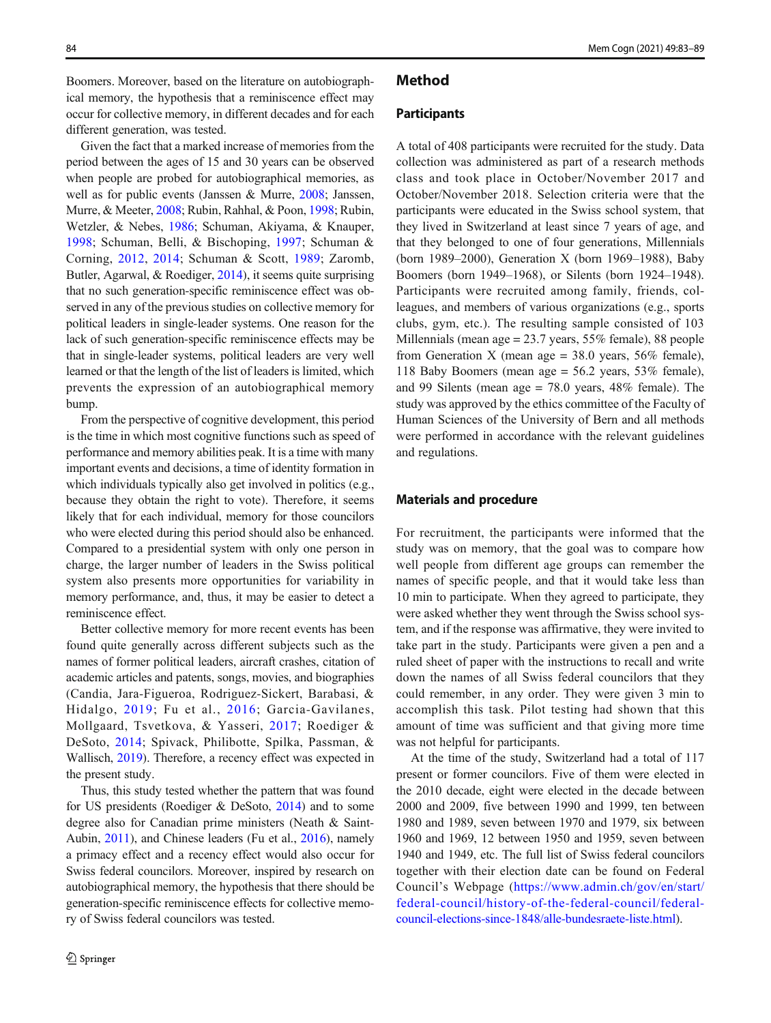Boomers. Moreover, based on the literature on autobiographical memory, the hypothesis that a reminiscence effect may occur for collective memory, in different decades and for each different generation, was tested.

Given the fact that a marked increase of memories from the period between the ages of 15 and 30 years can be observed when people are probed for autobiographical memories, as well as for public events (Janssen & Murre, [2008;](#page-6-0) Janssen, Murre, & Meeter, [2008](#page-6-0); Rubin, Rahhal, & Poon, [1998](#page-6-0); Rubin, Wetzler, & Nebes, [1986;](#page-6-0) Schuman, Akiyama, & Knauper, [1998](#page-6-0); Schuman, Belli, & Bischoping, [1997](#page-6-0); Schuman & Corning, [2012,](#page-6-0) [2014;](#page-6-0) Schuman & Scott, [1989;](#page-6-0) Zaromb, Butler, Agarwal, & Roediger, [2014\)](#page-6-0), it seems quite surprising that no such generation-specific reminiscence effect was observed in any of the previous studies on collective memory for political leaders in single-leader systems. One reason for the lack of such generation-specific reminiscence effects may be that in single-leader systems, political leaders are very well learned or that the length of the list of leaders is limited, which prevents the expression of an autobiographical memory bump.

From the perspective of cognitive development, this period is the time in which most cognitive functions such as speed of performance and memory abilities peak. It is a time with many important events and decisions, a time of identity formation in which individuals typically also get involved in politics (e.g., because they obtain the right to vote). Therefore, it seems likely that for each individual, memory for those councilors who were elected during this period should also be enhanced. Compared to a presidential system with only one person in charge, the larger number of leaders in the Swiss political system also presents more opportunities for variability in memory performance, and, thus, it may be easier to detect a reminiscence effect.

Better collective memory for more recent events has been found quite generally across different subjects such as the names of former political leaders, aircraft crashes, citation of academic articles and patents, songs, movies, and biographies (Candia, Jara-Figueroa, Rodriguez-Sickert, Barabasi, & Hidalgo, [2019;](#page-6-0) Fu et al., [2016](#page-6-0); Garcia-Gavilanes, Mollgaard, Tsvetkova, & Yasseri, [2017;](#page-6-0) Roediger & DeSoto, [2014;](#page-6-0) Spivack, Philibotte, Spilka, Passman, & Wallisch, [2019](#page-6-0)). Therefore, a recency effect was expected in the present study.

Thus, this study tested whether the pattern that was found for US presidents (Roediger & DeSoto, [2014\)](#page-6-0) and to some degree also for Canadian prime ministers (Neath & Saint-Aubin, [2011](#page-6-0)), and Chinese leaders (Fu et al., [2016\)](#page-6-0), namely a primacy effect and a recency effect would also occur for Swiss federal councilors. Moreover, inspired by research on autobiographical memory, the hypothesis that there should be generation-specific reminiscence effects for collective memory of Swiss federal councilors was tested.

#### Method

#### **Participants**

A total of 408 participants were recruited for the study. Data collection was administered as part of a research methods class and took place in October/November 2017 and October/November 2018. Selection criteria were that the participants were educated in the Swiss school system, that they lived in Switzerland at least since 7 years of age, and that they belonged to one of four generations, Millennials (born 1989–2000), Generation X (born 1969–1988), Baby Boomers (born 1949–1968), or Silents (born 1924–1948). Participants were recruited among family, friends, colleagues, and members of various organizations (e.g., sports clubs, gym, etc.). The resulting sample consisted of 103 Millennials (mean age = 23.7 years, 55% female), 88 people from Generation X (mean age =  $38.0$  years,  $56\%$  female), 118 Baby Boomers (mean age = 56.2 years, 53% female), and 99 Silents (mean age = 78.0 years, 48% female). The study was approved by the ethics committee of the Faculty of Human Sciences of the University of Bern and all methods were performed in accordance with the relevant guidelines and regulations.

#### Materials and procedure

For recruitment, the participants were informed that the study was on memory, that the goal was to compare how well people from different age groups can remember the names of specific people, and that it would take less than 10 min to participate. When they agreed to participate, they were asked whether they went through the Swiss school system, and if the response was affirmative, they were invited to take part in the study. Participants were given a pen and a ruled sheet of paper with the instructions to recall and write down the names of all Swiss federal councilors that they could remember, in any order. They were given 3 min to accomplish this task. Pilot testing had shown that this amount of time was sufficient and that giving more time was not helpful for participants.

At the time of the study, Switzerland had a total of 117 present or former councilors. Five of them were elected in the 2010 decade, eight were elected in the decade between 2000 and 2009, five between 1990 and 1999, ten between 1980 and 1989, seven between 1970 and 1979, six between 1960 and 1969, 12 between 1950 and 1959, seven between 1940 and 1949, etc. The full list of Swiss federal councilors together with their election date can be found on Federal Council's Webpage ([https://www.admin.ch/gov/en/start/](https://www.admin.ch/gov/en/start/federalouncil/historyf-heederalouncil/federalouncillections-ince-alleundesraeteiste.html) [federal-council/history-of-the-federal-council/federal](https://www.admin.ch/gov/en/start/federalouncil/historyf-heederalouncil/federalouncillections-ince-alleundesraeteiste.html)[council-elections-since-1848/alle-bundesraete-liste.html](https://www.admin.ch/gov/en/start/federalouncil/historyf-heederalouncil/federalouncillections-ince-alleundesraeteiste.html)).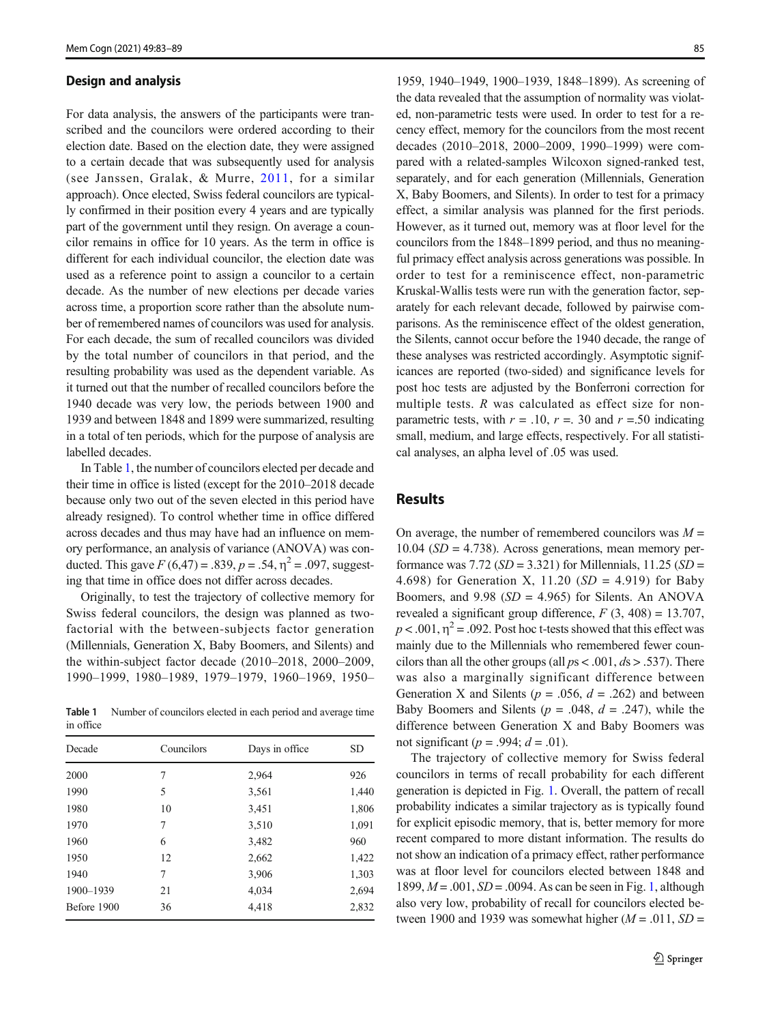#### Design and analysis

For data analysis, the answers of the participants were transcribed and the councilors were ordered according to their election date. Based on the election date, they were assigned to a certain decade that was subsequently used for analysis (see Janssen, Gralak, & Murre, [2011,](#page-6-0) for a similar approach). Once elected, Swiss federal councilors are typically confirmed in their position every 4 years and are typically part of the government until they resign. On average a councilor remains in office for 10 years. As the term in office is different for each individual councilor, the election date was used as a reference point to assign a councilor to a certain decade. As the number of new elections per decade varies across time, a proportion score rather than the absolute number of remembered names of councilors was used for analysis. For each decade, the sum of recalled councilors was divided by the total number of councilors in that period, and the resulting probability was used as the dependent variable. As it turned out that the number of recalled councilors before the 1940 decade was very low, the periods between 1900 and 1939 and between 1848 and 1899 were summarized, resulting in a total of ten periods, which for the purpose of analysis are labelled decades.

In Table 1, the number of councilors elected per decade and their time in office is listed (except for the 2010–2018 decade because only two out of the seven elected in this period have already resigned). To control whether time in office differed across decades and thus may have had an influence on memory performance, an analysis of variance (ANOVA) was conducted. This gave  $F(6,47) = .839$ ,  $p = .54$ ,  $\eta^2 = .097$ , suggesting that time in office does not differ across decades.

Originally, to test the trajectory of collective memory for Swiss federal councilors, the design was planned as twofactorial with the between-subjects factor generation (Millennials, Generation X, Baby Boomers, and Silents) and the within-subject factor decade (2010–2018, 2000–2009, 1990–1999, 1980–1989, 1979–1979, 1960–1969, 1950–

Table 1 Number of councilors elected in each period and average time in office

| Decade      | Councilors | Days in office | <b>SD</b> |
|-------------|------------|----------------|-----------|
| 2000        | 7          | 2,964          | 926       |
| 1990        | 5          | 3,561          | 1,440     |
| 1980        | 10         | 3,451          | 1,806     |
| 1970        | 7          | 3,510          | 1,091     |
| 1960        | 6          | 3,482          | 960       |
| 1950        | 12         | 2.662          | 1,422     |
| 1940        | 7          | 3,906          | 1,303     |
| 1900-1939   | 21         | 4.034          | 2.694     |
| Before 1900 | 36         | 4.418          | 2,832     |

1959, 1940–1949, 1900–1939, 1848–1899). As screening of the data revealed that the assumption of normality was violated, non-parametric tests were used. In order to test for a recency effect, memory for the councilors from the most recent decades (2010–2018, 2000–2009, 1990–1999) were compared with a related-samples Wilcoxon signed-ranked test, separately, and for each generation (Millennials, Generation X, Baby Boomers, and Silents). In order to test for a primacy effect, a similar analysis was planned for the first periods. However, as it turned out, memory was at floor level for the councilors from the 1848–1899 period, and thus no meaningful primacy effect analysis across generations was possible. In order to test for a reminiscence effect, non-parametric Kruskal-Wallis tests were run with the generation factor, separately for each relevant decade, followed by pairwise comparisons. As the reminiscence effect of the oldest generation, the Silents, cannot occur before the 1940 decade, the range of these analyses was restricted accordingly. Asymptotic significances are reported (two-sided) and significance levels for post hoc tests are adjusted by the Bonferroni correction for multiple tests. R was calculated as effect size for nonparametric tests, with  $r = .10$ ,  $r = .30$  and  $r = .50$  indicating small, medium, and large effects, respectively. For all statistical analyses, an alpha level of .05 was used.

# Results

On average, the number of remembered councilors was  $M =$  $10.04$  ( $SD = 4.738$ ). Across generations, mean memory performance was 7.72 ( $SD = 3.321$ ) for Millennials, 11.25 ( $SD =$ 4.698) for Generation X, 11.20  $(SD = 4.919)$  for Baby Boomers, and  $9.98$  ( $SD = 4.965$ ) for Silents. An ANOVA revealed a significant group difference,  $F(3, 408) = 13.707$ ,  $p < .001$ ,  $\eta^2 = .092$ . Post hoc t-tests showed that this effect was mainly due to the Millennials who remembered fewer councilors than all the other groups (all  $ps < .001$ ,  $ds > .537$ ). There was also a marginally significant difference between Generation X and Silents ( $p = .056$ ,  $d = .262$ ) and between Baby Boomers and Silents ( $p = .048$ ,  $d = .247$ ), while the difference between Generation X and Baby Boomers was not significant ( $p = .994$ ;  $d = .01$ ).

The trajectory of collective memory for Swiss federal councilors in terms of recall probability for each different generation is depicted in Fig. [1](#page-3-0). Overall, the pattern of recall probability indicates a similar trajectory as is typically found for explicit episodic memory, that is, better memory for more recent compared to more distant information. The results do not show an indication of a primacy effect, rather performance was at floor level for councilors elected between 1848 and 1899,  $M = .001$ ,  $SD = .0094$ . As can be seen in Fig. [1,](#page-3-0) although also very low, probability of recall for councilors elected between 1900 and 1939 was somewhat higher  $(M = .011, SD =$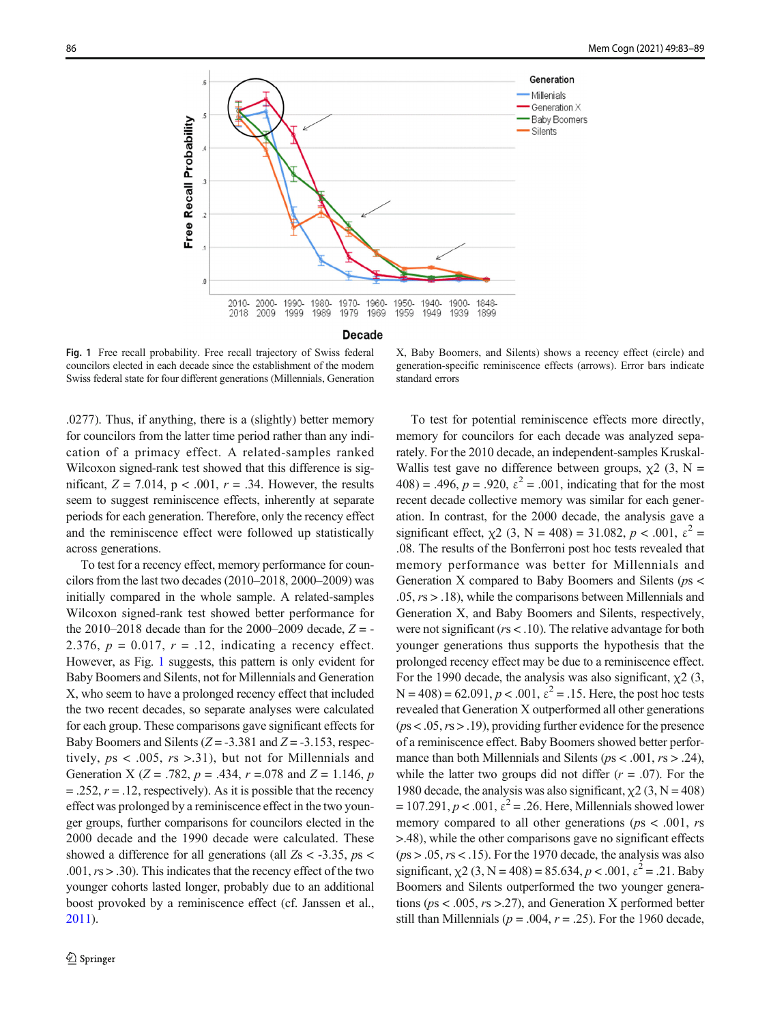<span id="page-3-0"></span>

**Decade** 

Fig. 1 Free recall probability. Free recall trajectory of Swiss federal councilors elected in each decade since the establishment of the modern Swiss federal state for four different generations (Millennials, Generation

X, Baby Boomers, and Silents) shows a recency effect (circle) and generation-specific reminiscence effects (arrows). Error bars indicate standard errors

.0277). Thus, if anything, there is a (slightly) better memory for councilors from the latter time period rather than any indication of a primacy effect. A related-samples ranked Wilcoxon signed-rank test showed that this difference is significant,  $Z = 7.014$ ,  $p < .001$ ,  $r = .34$ . However, the results seem to suggest reminiscence effects, inherently at separate periods for each generation. Therefore, only the recency effect and the reminiscence effect were followed up statistically across generations.

To test for a recency effect, memory performance for councilors from the last two decades (2010–2018, 2000–2009) was initially compared in the whole sample. A related-samples Wilcoxon signed-rank test showed better performance for the 2010–2018 decade than for the 2000–2009 decade,  $Z = -$ 2.376,  $p = 0.017$ ,  $r = .12$ , indicating a recency effect. However, as Fig. 1 suggests, this pattern is only evident for Baby Boomers and Silents, not for Millennials and Generation X, who seem to have a prolonged recency effect that included the two recent decades, so separate analyses were calculated for each group. These comparisons gave significant effects for Baby Boomers and Silents ( $Z = -3.381$  and  $Z = -3.153$ , respectively,  $ps < .005$ ,  $rs > .31$ ), but not for Millennials and Generation X ( $Z = .782$ ,  $p = .434$ ,  $r = .078$  and  $Z = 1.146$ ,  $p$  $=$  .252,  $r = 0.12$ , respectively). As it is possible that the recency effect was prolonged by a reminiscence effect in the two younger groups, further comparisons for councilors elected in the 2000 decade and the 1990 decade were calculated. These showed a difference for all generations (all  $Z_s < -3.35$ ,  $ps <$ .001,  $rs > .30$ ). This indicates that the recency effect of the two younger cohorts lasted longer, probably due to an additional boost provoked by a reminiscence effect (cf. Janssen et al., [2011\)](#page-6-0).

To test for potential reminiscence effects more directly, memory for councilors for each decade was analyzed separately. For the 2010 decade, an independent-samples Kruskal-Wallis test gave no difference between groups,  $\chi$ 2 (3, N =  $408$ ) = .496, p = .920,  $\varepsilon^2$  = .001, indicating that for the most recent decade collective memory was similar for each generation. In contrast, for the 2000 decade, the analysis gave a significant effect,  $\chi$ 2 (3, N = 408) = 31.082, p < .001,  $\varepsilon^2$  = .08. The results of the Bonferroni post hoc tests revealed that memory performance was better for Millennials and Generation X compared to Baby Boomers and Silents (ps <  $.05, rs > .18$ ), while the comparisons between Millennials and Generation X, and Baby Boomers and Silents, respectively, were not significant ( $rs < 0.10$ ). The relative advantage for both younger generations thus supports the hypothesis that the prolonged recency effect may be due to a reminiscence effect. For the 1990 decade, the analysis was also significant,  $\chi$ 2 (3,  $N = 408$ ) = 62.091,  $p < .001$ ,  $\varepsilon^2 = .15$ . Here, the post hoc tests revealed that Generation X outperformed all other generations  $(ps < .05, rs > .19)$ , providing further evidence for the presence of a reminiscence effect. Baby Boomers showed better performance than both Millennials and Silents ( $ps < .001$ ,  $rs > .24$ ), while the latter two groups did not differ  $(r = .07)$ . For the 1980 decade, the analysis was also significant,  $\chi$ 2 (3, N = 408)  $= 107.291, p < .001, \varepsilon^2 = .26$ . Here, Millennials showed lower memory compared to all other generations ( $ps < .001$ ,  $rs$ ) >.48), while the other comparisons gave no significant effects  $(ps > .05, rs < .15)$ . For the 1970 decade, the analysis was also significant,  $\chi$ 2 (3, N = 408) = 85.634, p < .001,  $\varepsilon$ <sup>2</sup> = .21. Baby Boomers and Silents outperformed the two younger generations ( $ps < .005$ ,  $rs > .27$ ), and Generation X performed better still than Millennials ( $p = .004$ ,  $r = .25$ ). For the 1960 decade,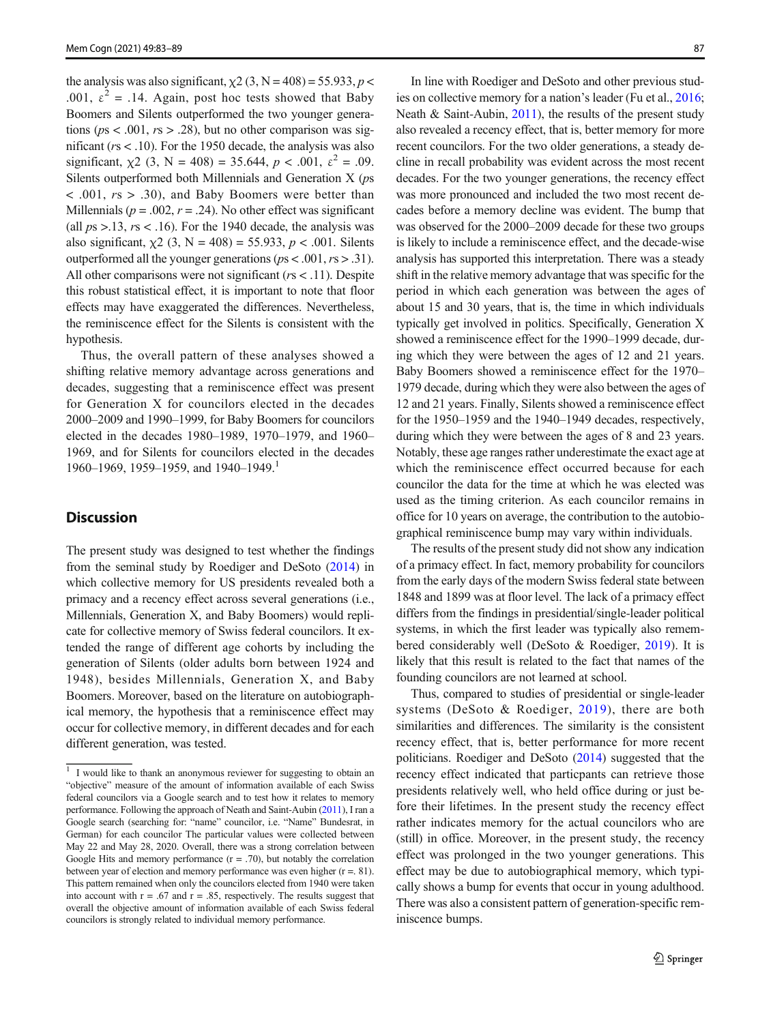the analysis was also significant,  $\chi$ 2 (3, N = 408) = 55.933, p < .001,  $\varepsilon^2$  = .14. Again, post hoc tests showed that Baby Boomers and Silents outperformed the two younger generations ( $ps < .001$ ,  $rs > .28$ ), but no other comparison was significant ( $rs < 0.10$ ). For the 1950 decade, the analysis was also significant,  $\chi$ 2 (3, N = 408) = 35.644, p < .001,  $\varepsilon$ <sup>2</sup> = .09. Silents outperformed both Millennials and Generation X (ps  $\langle 0.001, r\ s \rangle$  30), and Baby Boomers were better than Millennials ( $p = .002$ ,  $r = .24$ ). No other effect was significant (all  $ps > 0.13$ ,  $rs < 0.16$ ). For the 1940 decade, the analysis was also significant,  $\chi$ 2 (3, N = 408) = 55.933, p < .001. Silents outperformed all the younger generations ( $ps < .001$ ,  $rs > .31$ ). All other comparisons were not significant ( $rs < 11$ ). Despite this robust statistical effect, it is important to note that floor effects may have exaggerated the differences. Nevertheless, the reminiscence effect for the Silents is consistent with the hypothesis.

Thus, the overall pattern of these analyses showed a shifting relative memory advantage across generations and decades, suggesting that a reminiscence effect was present for Generation X for councilors elected in the decades 2000–2009 and 1990–1999, for Baby Boomers for councilors elected in the decades 1980–1989, 1970–1979, and 1960– 1969, and for Silents for councilors elected in the decades 1960–1969, 1959–1959, and 1940–1949.<sup>1</sup>

### **Discussion**

The present study was designed to test whether the findings from the seminal study by Roediger and DeSoto [\(2014\)](#page-6-0) in which collective memory for US presidents revealed both a primacy and a recency effect across several generations (i.e., Millennials, Generation X, and Baby Boomers) would replicate for collective memory of Swiss federal councilors. It extended the range of different age cohorts by including the generation of Silents (older adults born between 1924 and 1948), besides Millennials, Generation X, and Baby Boomers. Moreover, based on the literature on autobiographical memory, the hypothesis that a reminiscence effect may occur for collective memory, in different decades and for each different generation, was tested.

In line with Roediger and DeSoto and other previous studies on collective memory for a nation's leader (Fu et al., [2016;](#page-6-0) Neath & Saint-Aubin, [2011](#page-6-0)), the results of the present study also revealed a recency effect, that is, better memory for more recent councilors. For the two older generations, a steady decline in recall probability was evident across the most recent decades. For the two younger generations, the recency effect was more pronounced and included the two most recent decades before a memory decline was evident. The bump that was observed for the 2000–2009 decade for these two groups is likely to include a reminiscence effect, and the decade-wise analysis has supported this interpretation. There was a steady shift in the relative memory advantage that was specific for the period in which each generation was between the ages of about 15 and 30 years, that is, the time in which individuals typically get involved in politics. Specifically, Generation X showed a reminiscence effect for the 1990–1999 decade, during which they were between the ages of 12 and 21 years. Baby Boomers showed a reminiscence effect for the 1970– 1979 decade, during which they were also between the ages of 12 and 21 years. Finally, Silents showed a reminiscence effect for the 1950–1959 and the 1940–1949 decades, respectively, during which they were between the ages of 8 and 23 years. Notably, these age ranges rather underestimate the exact age at which the reminiscence effect occurred because for each councilor the data for the time at which he was elected was used as the timing criterion. As each councilor remains in office for 10 years on average, the contribution to the autobiographical reminiscence bump may vary within individuals.

The results of the present study did not show any indication of a primacy effect. In fact, memory probability for councilors from the early days of the modern Swiss federal state between 1848 and 1899 was at floor level. The lack of a primacy effect differs from the findings in presidential/single-leader political systems, in which the first leader was typically also remembered considerably well (DeSoto & Roediger, [2019](#page-6-0)). It is likely that this result is related to the fact that names of the founding councilors are not learned at school.

Thus, compared to studies of presidential or single-leader systems (DeSoto & Roediger, [2019](#page-6-0)), there are both similarities and differences. The similarity is the consistent recency effect, that is, better performance for more recent politicians. Roediger and DeSoto ([2014](#page-6-0)) suggested that the recency effect indicated that particpants can retrieve those presidents relatively well, who held office during or just before their lifetimes. In the present study the recency effect rather indicates memory for the actual councilors who are (still) in office. Moreover, in the present study, the recency effect was prolonged in the two younger generations. This effect may be due to autobiographical memory, which typically shows a bump for events that occur in young adulthood. There was also a consistent pattern of generation-specific reminiscence bumps.

<sup>&</sup>lt;sup>1</sup> I would like to thank an anonymous reviewer for suggesting to obtain an "objective" measure of the amount of information available of each Swiss federal councilors via a Google search and to test how it relates to memory performance. Following the approach of Neath and Saint-Aubin ([2011](#page-6-0)), I ran a Google search (searching for: "name" councilor, i.e. "Name" Bundesrat, in German) for each councilor The particular values were collected between May 22 and May 28, 2020. Overall, there was a strong correlation between Google Hits and memory performance  $(r = .70)$ , but notably the correlation between year of election and memory performance was even higher (r =. 81). This pattern remained when only the councilors elected from 1940 were taken into account with  $r = .67$  and  $r = .85$ , respectively. The results suggest that overall the objective amount of information available of each Swiss federal councilors is strongly related to individual memory performance.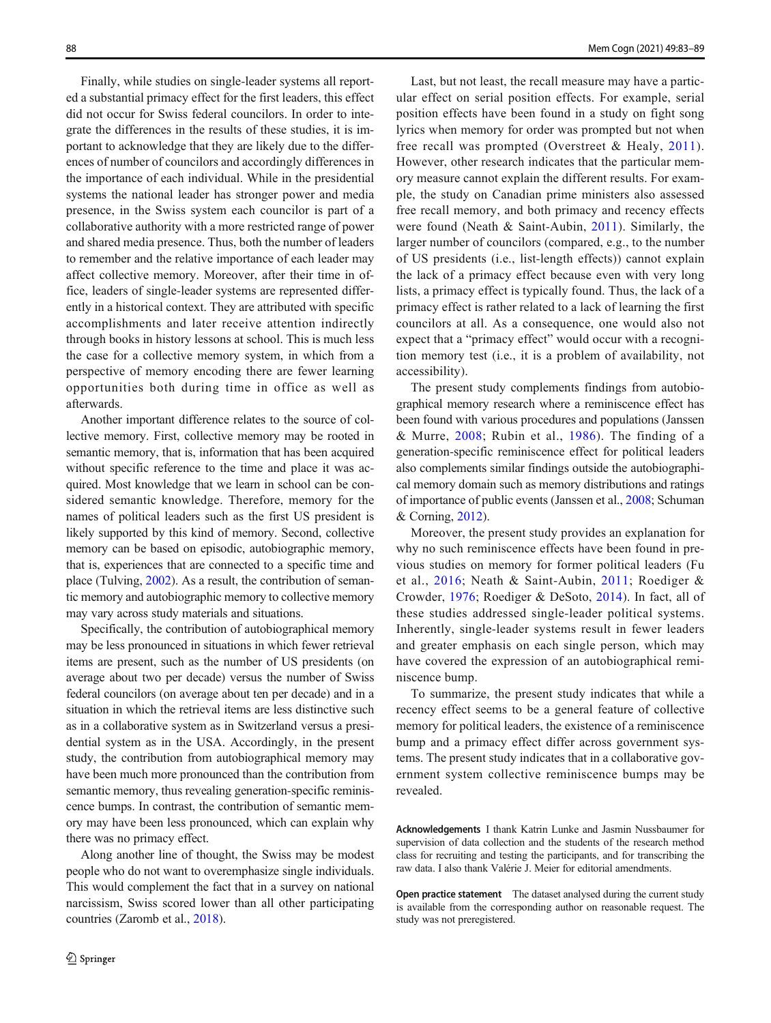Finally, while studies on single-leader systems all reported a substantial primacy effect for the first leaders, this effect did not occur for Swiss federal councilors. In order to integrate the differences in the results of these studies, it is important to acknowledge that they are likely due to the differences of number of councilors and accordingly differences in the importance of each individual. While in the presidential systems the national leader has stronger power and media presence, in the Swiss system each councilor is part of a collaborative authority with a more restricted range of power and shared media presence. Thus, both the number of leaders to remember and the relative importance of each leader may affect collective memory. Moreover, after their time in office, leaders of single-leader systems are represented differently in a historical context. They are attributed with specific accomplishments and later receive attention indirectly through books in history lessons at school. This is much less the case for a collective memory system, in which from a perspective of memory encoding there are fewer learning opportunities both during time in office as well as afterwards.

Another important difference relates to the source of collective memory. First, collective memory may be rooted in semantic memory, that is, information that has been acquired without specific reference to the time and place it was acquired. Most knowledge that we learn in school can be considered semantic knowledge. Therefore, memory for the names of political leaders such as the first US president is likely supported by this kind of memory. Second, collective memory can be based on episodic, autobiographic memory, that is, experiences that are connected to a specific time and place (Tulving, [2002](#page-6-0)). As a result, the contribution of semantic memory and autobiographic memory to collective memory may vary across study materials and situations.

Specifically, the contribution of autobiographical memory may be less pronounced in situations in which fewer retrieval items are present, such as the number of US presidents (on average about two per decade) versus the number of Swiss federal councilors (on average about ten per decade) and in a situation in which the retrieval items are less distinctive such as in a collaborative system as in Switzerland versus a presidential system as in the USA. Accordingly, in the present study, the contribution from autobiographical memory may have been much more pronounced than the contribution from semantic memory, thus revealing generation-specific reminiscence bumps. In contrast, the contribution of semantic memory may have been less pronounced, which can explain why there was no primacy effect.

Along another line of thought, the Swiss may be modest people who do not want to overemphasize single individuals. This would complement the fact that in a survey on national narcissism, Swiss scored lower than all other participating countries (Zaromb et al., [2018\)](#page-6-0).

Last, but not least, the recall measure may have a particular effect on serial position effects. For example, serial position effects have been found in a study on fight song lyrics when memory for order was prompted but not when free recall was prompted (Overstreet & Healy, [2011](#page-6-0)). However, other research indicates that the particular memory measure cannot explain the different results. For example, the study on Canadian prime ministers also assessed free recall memory, and both primacy and recency effects were found (Neath & Saint-Aubin, [2011\)](#page-6-0). Similarly, the larger number of councilors (compared, e.g., to the number of US presidents (i.e., list-length effects)) cannot explain the lack of a primacy effect because even with very long lists, a primacy effect is typically found. Thus, the lack of a primacy effect is rather related to a lack of learning the first councilors at all. As a consequence, one would also not expect that a "primacy effect" would occur with a recognition memory test (i.e., it is a problem of availability, not accessibility).

The present study complements findings from autobiographical memory research where a reminiscence effect has been found with various procedures and populations (Janssen & Murre, [2008;](#page-6-0) Rubin et al., [1986\)](#page-6-0). The finding of a generation-specific reminiscence effect for political leaders also complements similar findings outside the autobiographical memory domain such as memory distributions and ratings of importance of public events (Janssen et al., [2008](#page-6-0); Schuman & Corning, [2012\)](#page-6-0).

Moreover, the present study provides an explanation for why no such reminiscence effects have been found in previous studies on memory for former political leaders (Fu et al., [2016;](#page-6-0) Neath & Saint-Aubin, [2011](#page-6-0); Roediger & Crowder, [1976;](#page-6-0) Roediger & DeSoto, [2014](#page-6-0)). In fact, all of these studies addressed single-leader political systems. Inherently, single-leader systems result in fewer leaders and greater emphasis on each single person, which may have covered the expression of an autobiographical reminiscence bump.

To summarize, the present study indicates that while a recency effect seems to be a general feature of collective memory for political leaders, the existence of a reminiscence bump and a primacy effect differ across government systems. The present study indicates that in a collaborative government system collective reminiscence bumps may be revealed.

Acknowledgements I thank Katrin Lunke and Jasmin Nussbaumer for supervision of data collection and the students of the research method class for recruiting and testing the participants, and for transcribing the raw data. I also thank Valérie J. Meier for editorial amendments.

Open practice statement The dataset analysed during the current study is available from the corresponding author on reasonable request. The study was not preregistered.